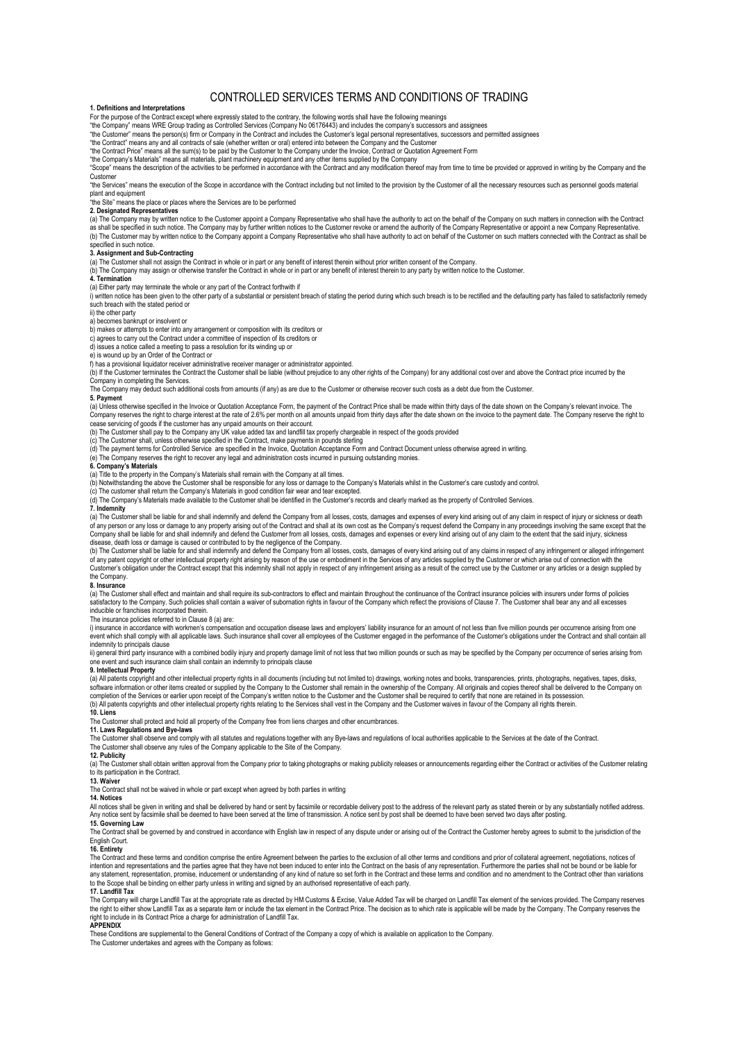# CONTROLLED SERVICES TERMS AND CONDITIONS OF TRADING

# **1. Definitions and Interpretations**

For the purpose of the Contract except where expressly stated to the contrary, the following words shall have the following meanings<br>"the Company" means WRE Group trading as Controlled Services (Company No 06176443) and in

"the Customer" means the person(s) firm or Company in the Contract and includes the Customer's legal personal representatives, successors and permitted assignees<br>"the Contract" means any and all contracts of sale (whether

"the Contract Price" means all the sum(s) to be paid by the Customer to the Company under the Invoice, Contract or Quotation Agreement Form<br>"the Company's Materials" means all materials, plant machinery equipment and any o

"Scope" means the description of the activities to be performed in accordance with the Contract and any modification thereof may from time to time be provided or approved in writing by the Company and the Company and the C

Customer

"the Services" means the execution of the Scope in accordance with the Contract including but not limited to the provision by the Customer of all the necessary resources such as personnel goods material plant and equipment

## "the Site" means the place or places where the Services are to be performed

**2. Designated Representatives**

(a) The Company may by written notice to the Customer appoint a Company Representative who shall have the authority to act on the behalf of the Company on such matters in connection with the Contract as shall be specified in such notice. The Company may by further written notices to the Customer revoke or amend the authority of the Company Representative or appoint a new Company Representative.<br>(b) The Customer may by

specified in such notice

**3. Assignment and Sub-Contracting**<br>(a) The Customer shall not assign the Contract in whole or in part or any benefit of interest therein without prior written consent of the Company.

(b) The Company may assign or otherwise transfer the Contract in whole or in part or any benefit of interest therein to any party by written notice to the Customer.

## **4. Termination**

(a) Either party may terminate the whole or any part of the Contract forthwith if<br>i) written notice has been given to the other party of a substantial or persistent breach of stating the period during which such breach is such breach with the stated period or

# ii) the other party

a) becomes bankrupt or insolvent or

b) makes or attempts to enter into any arrangement or composition with its creditors or

c) agrees to carry out the Contract under a committee of inspection of its creditors or

d) issues a notice called a meeting to pass a resolution for its winding up or

e) is wound up by an Order of the Contract or

f) has a provisional liquidator receiver administrative receiver manager or administrator appointed.

(b) If the Customer terminates the Contract the Customer shall be liable (without prejudice to any other rights of the Company) for any additional cost over and above the Contract price incurred by the Company in completing the Services.<br>The Company may deduct such additional costs from amounts (if any) as are due to the Customer or otherwise recover such costs as a debt due from the Customer.

**5. Payment**<br>(a) Unless otherwise specified in the Invoice or Quotation Acceptance Form, the payment of the Contract Price shall be made within thirty days of the date shown on the Company's relevant invoice. The Company reserves the right to charge interest at the rate of 2.6% per month on all amounts unpaid from thirty days after the date shown on the invoice to the payment date. The Company reserve the right to cease servicing of goods if the customer has any unpaid amounts on their account.

(b) The Customer shall pay to the Company any UK value added tax and landfill tax properly chargeable in respect of the goods provided<br>(c) The Customer shall, unless otherwise specified in the Contract, make payments in po

# (e) The Company reserves the right to recover any legal and administration costs incurred in pursuing outstanding monies. **6. Company's Materials**

(a) Title to the property in the Company's Materials shall remain with the Company at all times.<br>(b) Notwithstanding the above the Customer shall be responsible for any loss or damage to the Company's Materials whilst in t

**7. Indemnity**

(a) The Customer shall be liable for and shall indemnify and defend the Company from all losses, costs, damages and expenses of every kind arising out of any claim in respect of injury or sickness or death<br>of any person or disease, death loss or damage is caused or contributed to by the negligence of the Company.

(b) The Customer shall be liable for and shall indemnify and defend the Company from all losses, costs, damages of every kind arising out of any claims in respect of any infringement or alleged infringement<br>of any patent c Customer's obligation under the Contract except that this indemnity shall not apply in respect of any infringement arising as a result of the correct use by the Customer or any articles or a design supplied by the Company.

## **8. Insurance**

(a) The Customer shall effect and maintain and shall require its sub-contractors to effect and maintain throughout the continance of the Contract insurance policies with insurers under forms of policies<br>satisfactory to the inducible or franchises incorporated therein.

## The insurance policies referred to in Clause 8 (a) are:

i) insurance in accordance with workmen's compensation and occupation disease laws and employers' liability insurance for an amount of not less than five million pounds per occurrence arising from one<br>event which shall com

indemnity to principals clause<br>ii) general third party insurance with a combined bodily injury and property damage limit of not less that two million pounds or such as may be specified by the Company per occurrence of seri one event and such insurance claim shall contain an indemnity to principals clause **9. Intellectual Property**

(a) All patents copyright and other intellectual property rights in all documents (including but not limited to) drawings, working notes and books, transparencies, prints, photographs, negatives, tapes, disks,<br>software inf completion of the Services or earlier upon receipt of the Company's written notice to the Customer and the Customer shall be required to certify that none are retained in its possession.<br>(b) All patents copyrights and othe

# **10. Liens**

The Customer shall protect and hold all property of the Company free from liens charges and other encumbra

# **11. Laws Regulations and Bye-laws**

The Customer shall observe and comply with all statutes and regulations together with any Bye-laws and regulations of local authorities applicable to the Services at the date of the Contract. The Customer shall observe any rules of the Company applicable to the Site of the Company.

**12. Publicity**

An Tubutomer shall obtain written approval from the Company prior to taking photographs or making publicity releases or announcements regarding either the Contract or activities of the Customer relating to its participation in the Contract.

## **13. Waiver**

The Contract shall not be waived in whole or part except when agreed by both parties in writing

# **14. Notices**

All notices shall be given in writing and shall be delivered by hand or sent by facsimile or recordable delivery post to the address of the relevant party as stated therein or by any substantially notified address. Any notice sent by facsimile shall be deemed to have been served at the time of transmission. A notice sent by post shall be deemed to have been served two days after posting. **15. Governing Law**

The Contract shall be governed by and construed in accordance with English law in respect of any dispute under or arising out of the Contract the Customer hereby agrees to submit to the jurisdiction of the English Court.

**16. Entirety**<br>The Contract and these terms and condition comprise the entire Agreement between the parties to the exclusion of all other terms and conditions and prior of collateral agreement, negotiations, notices of intention and representations and the parties agree that they have not been induced to enter into the Contract on the basis of any representation. Furthermore the parties shall not be bound or be liable for<br>any statement, to the Scope shall be binding on either party unless in writing and signed by an authorised representative of each party.

## **17. Landfill Tax**

The Company will charge Landfill Tax at the appropriate rate as directed by HM Customs & Excise, Value Added Tax will be charged on Landfill Tax element of the services provided. The Company reserves<br>the right to either sh

## **APPENDIX**

These Conditions are supplemental to the General Conditions of Contract of the Company a copy of which is available on application to the Company.

The Customer undertakes and agrees with the Company as follow